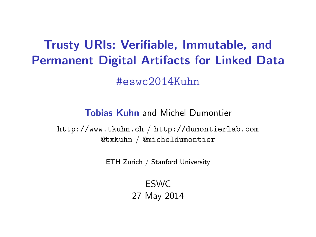# Trusty URIs: Verifiable, Immutable, and Permanent Digital Artifacts for Linked Data #eswc2014Kuhn

Tobias Kuhn and Michel Dumontier

<span id="page-0-0"></span><http://www.tkuhn.ch> / <http://dumontierlab.com> @txkuhn / @micheldumontier

ETH Zurich / Stanford University

ESWC 27 May 2014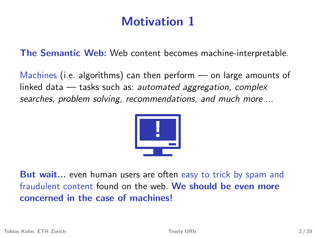# Motivation 1

The Semantic Web: Web content becomes machine-interpretable.

Machines (i.e. algorithms) can then perform — on large amounts of linked data  $-$  tasks such as: automated aggregation, complex searches, problem solving, recommendations, and much more ...



But wait... even human users are often easy to trick by spam and fraudulent content found on the web. We should be even more concerned in the case of machines!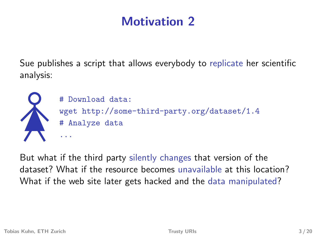# Motivation 2

Sue publishes a script that allows everybody to replicate her scientific analysis:



But what if the third party silently changes that version of the dataset? What if the resource becomes unavailable at this location? What if the web site later gets hacked and the data manipulated?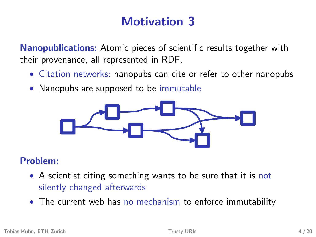# Motivation 3

Nanopublications: Atomic pieces of scientific results together with their provenance, all represented in RDF.

- Citation networks: nanopubs can cite or refer to other nanopubs
- Nanopubs are supposed to be immutable



#### Problem:

- A scientist citing something wants to be sure that it is not silently changed afterwards
- The current web has no mechanism to enforce immutability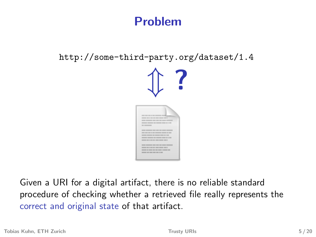#### Problem

http://some-third-party.org/dataset/1.4



Given a URI for a digital artifact, there is no reliable standard procedure of checking whether a retrieved file really represents the correct and original state of that artifact.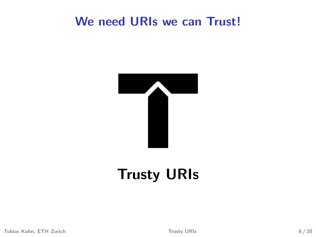#### We need URIs we can Trust!



# Trusty URIs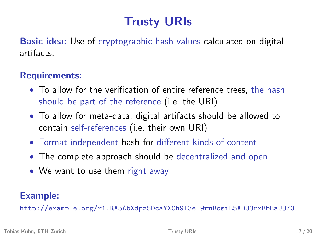# Trusty URIs

Basic idea: Use of cryptographic hash values calculated on digital artifacts.

#### Requirements:

- To allow for the verification of entire reference trees, the hash should be part of the reference (i.e. the URI)
- To allow for meta-data, digital artifacts should be allowed to contain self-references (i.e. their own URI)
- Format-independent hash for different kinds of content
- The complete approach should be decentralized and open
- We want to use them right away

#### Example:

http://example.org/r1.RA5AbXdpz5DcaYXCh9l3eI9ruBosiL5XDU3rxBbBaUO70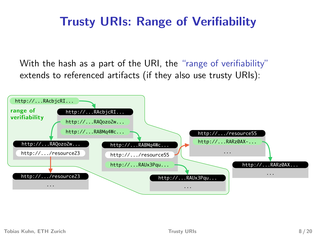### Trusty URIs: Range of Verifiability

With the hash as a part of the URI, the "range of verifiability" extends to referenced artifacts (if they also use trusty URIs):

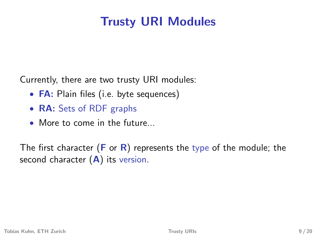# Trusty URI Modules

Currently, there are two trusty URI modules:

- **FA**: Plain files (i.e. byte sequences)
- RA: Sets of RDF graphs
- More to come in the future...

The first character ( $\bf{F}$  or  $\bf{R}$ ) represents the type of the module; the second character  $(A)$  its version.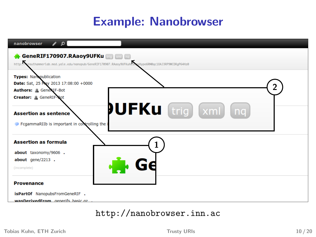### Example: Nanobrowser

| $\sqrt{2}$<br>nanobrowser                                                                                                                             |  |
|-------------------------------------------------------------------------------------------------------------------------------------------------------|--|
| GeneRIF170907.RAaoy9UFKu <b>trig xml</b> mg<br>http://wrauthammerlab.med.yale.edu/nanopub/GeneRIF170907.RAaoy9UFKuHeSAxsHype6RM0qc10AJ3RP9WCDRgP64Hz0 |  |
| <b>Types: Nanopublication</b><br>Date: Sat, 25 May 2013 17:08:00 +0000<br>Authors: Gener IF-Bot<br>Creator: GeneRIF-Bot                               |  |
| <b>PUFKu</b><br>trig   xml<br>nq<br><b>Assertion as sentence</b><br>FcgammaRIIb is important in controlling the                                       |  |
| <b>Assertion as formula</b>                                                                                                                           |  |
| about taxonomy/9606.<br>$about$ gene/2213.<br>(incomplete)                                                                                            |  |
| <b>Provenance</b>                                                                                                                                     |  |
| isPartOf NanopubsFromGeneRIF.<br>wasDerivedErom generifs hasic gz                                                                                     |  |

#### <http://nanobrowser.inn.ac>

Tobias Kuhn, ETH Zurich [Trusty URIs](#page-0-0) Trusty URIs 10 / 20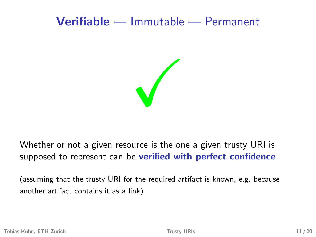#### Verifiable — Immutable — Permanent

 $\sqrt{2}$ 

Whether or not a given resource is the one a given trusty URI is supposed to represent can be verified with perfect confidence.

(assuming that the trusty URI for the required artifact is known, e.g. because another artifact contains it as a link)

Tobias Kuhn, ETH Zurich [Trusty URIs](#page-0-0) 11 / 20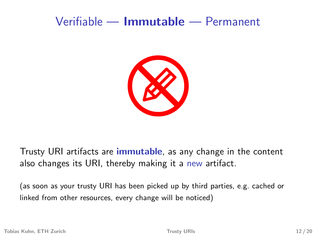#### Verifiable — Immutable — Permanent



Trusty URI artifacts are *immutable*, as any change in the content also changes its URI, thereby making it a new artifact.

(as soon as your trusty URI has been picked up by third parties, e.g. cached or linked from other resources, every change will be noticed)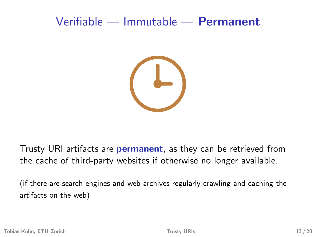#### Verifiable — Immutable — Permanent



Trusty URI artifacts are **permanent**, as they can be retrieved from the cache of third-party websites if otherwise no longer available.

(if there are search engines and web archives regularly crawling and caching the artifacts on the web)

Tobias Kuhn, ETH Zurich [Trusty URIs](#page-0-0) 13 / 20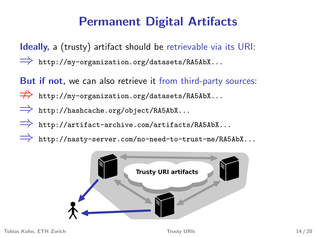# Permanent Digital Artifacts

Ideally, a (trusty) artifact should be retrievable via its URI: ⇒ http://my-organization.org/datasets/RA5AbX...

But if not, we can also retrieve it from third-party sources:

- $\Rightarrow$  http://my-organization.org/datasets/RA5AbX...
- ⇒ http://hashcache.org/object/RA5AbX...
- ⇒ http://artifact-archive.com/artifacts/RA5AbX...
- ⇒ http://nasty-server.com/no-need-to-trust-me/RA5AbX...

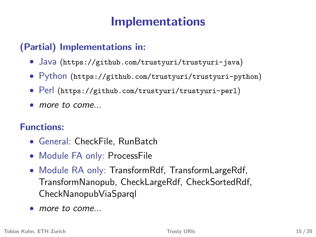### Implementations

#### (Partial) Implementations in:

- Java (<https://github.com/trustyuri/trustyuri-java>)
- Python (<https://github.com/trustyuri/trustyuri-python>)
- Perl (<https://github.com/trustyuri/trustyuri-perl>)
- more to come...

#### Functions:

- General: CheckFile, RunBatch
- Module FA only: ProcessFile
- Module RA only: TransformRdf, TransformLargeRdf, TransformNanopub, CheckLargeRdf, CheckSortedRdf, CheckNanopubViaSparql
- more to come...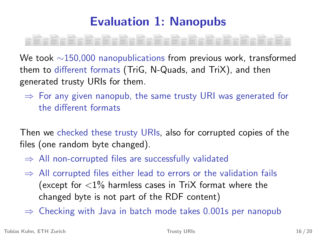# Evaluation 1: Nanopubs

We took ∼150,000 nanopublications from previous work, transformed them to different formats (TriG, N-Quads, and TriX), and then generated trusty URIs for them.

 $\Rightarrow$  For any given nanopub, the same trusty URI was generated for the different formats

Then we checked these trusty URIs, also for corrupted copies of the files (one random byte changed).

- $\Rightarrow$  All non-corrupted files are successfully validated
- $\Rightarrow$  All corrupted files either lead to errors or the validation fails (except for  $\langle 1\%$  harmless cases in TriX format where the changed byte is not part of the RDF content)

 $\Rightarrow$  Checking with Java in batch mode takes 0.001s per nanopub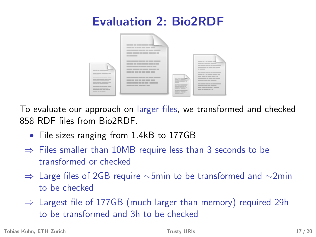### Evaluation 2: Bio2RDF



To evaluate our approach on larger files, we transformed and checked 858 RDF files from Bio2RDF.

- File sizes ranging from 1.4kB to 177GB
- $\Rightarrow$  Files smaller than 10MB require less than 3 seconds to be transformed or checked
- $\Rightarrow$  Large files of 2GB require ∼5min to be transformed and ∼2min to be checked
- $\Rightarrow$  Largest file of 177GB (much larger than memory) required 29h to be transformed and 3h to be checked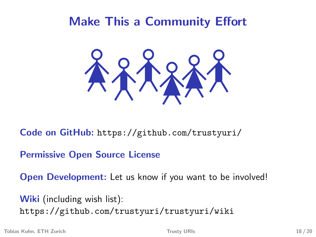### Make This a Community Effort



Code on GitHub: <https://github.com/trustyuri/>

Permissive Open Source License

Open Development: Let us know if you want to be involved!

Wiki (including wish list): <https://github.com/trustyuri/trustyuri/wiki>

Tobias Kuhn, ETH Zurich [Trusty URIs](#page-0-0) 18 / 20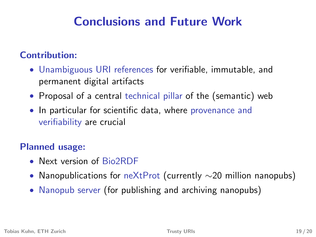### Conclusions and Future Work

#### Contribution:

- Unambiguous URI references for verifiable, immutable, and permanent digital artifacts
- Proposal of a central technical pillar of the (semantic) web
- In particular for scientific data, where provenance and verifiability are crucial

#### Planned usage:

- Next version of Bio2RDF
- Nanopublications for neXtProt (currently  $\sim$ 20 million nanopubs)
- Nanopub server (for publishing and archiving nanopubs)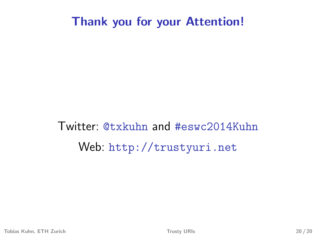#### Thank you for your Attention!

Twitter: @txkuhn and #eswc2014Kuhn Web: <http://trustyuri.net>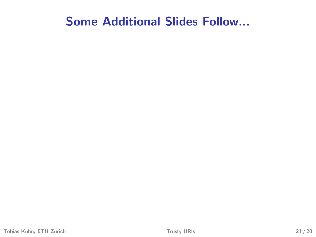#### Some Additional Slides Follow...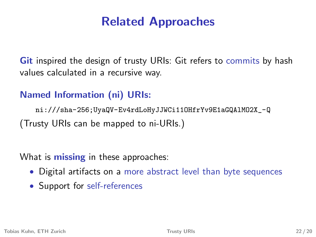### Related Approaches

**Git** inspired the design of trusty URIs: Git refers to commits by hash values calculated in a recursive way.

#### Named Information (ni) URIs:

[ni:///sha-256;UyaQV-Ev4rdLoHyJJWCi11OHfrYv9E1aGQAlMO2X\\_-Q](ni:///sha-256;UyaQV-Ev4rdLoHyJJWCi11OHfrYv9E1aGQAlMO2X_-Q) (Trusty URIs can be mapped to ni-URIs.)

What is **missing** in these approaches:

- Digital artifacts on a more abstract level than byte sequences
- Support for self-references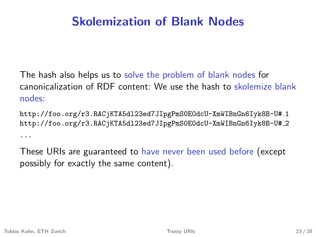### Skolemization of Blank Nodes

The hash also helps us to solve the problem of blank nodes for canonicalization of RDF content: We use the hash to skolemize blank nodes:

http://foo.org/r3.RACjKTA5dl23ed7JIpgPmS0E0dcU-XmWIBnGn6Iyk8B-U# 1 http://foo.org/r3.RACjKTA5dl23ed7JIpgPmS0E0dcU-XmWIBnGn6Iyk8B-U# 2 ...

These URIs are guaranteed to have never been used before (except possibly for exactly the same content).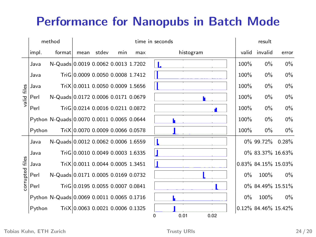### Performance for Nanopubs in Batch Mode

|                    |        | method                                     | time in seconds                  |       |     |     |  |      |           | result |  |       |                     |       |
|--------------------|--------|--------------------------------------------|----------------------------------|-------|-----|-----|--|------|-----------|--------|--|-------|---------------------|-------|
|                    | impl.  | format                                     | mean                             | stdev | min | max |  |      | histogram |        |  | valid | invalid             | error |
| files<br>bilev     | Java   | N-Quads 0.0019 0.0062 0.0013 1.7202        |                                  |       |     |     |  |      |           |        |  | 100%  | $0\%$               | $0\%$ |
|                    | Java   |                                            | TriG 0.0009 0.0050 0.0008 1.7412 |       |     |     |  |      |           |        |  | 100%  | $0\%$               | $0\%$ |
|                    | Java   |                                            | TriX10.0011 0.0050 0.0009 1.5656 |       |     |     |  |      |           |        |  | 100%  | $0\%$               | $0\%$ |
|                    | Perl   | N-Quads 0.0172 0.0006 0.0171 0.0679        |                                  |       |     |     |  |      |           |        |  | 100%  | $0\%$               | $0\%$ |
|                    | Perl   |                                            | TriG10.0214 0.0016 0.0211 0.0872 |       |     |     |  |      |           |        |  | 100%  | $0\%$               | $0\%$ |
|                    |        | Python N-Quads 0.0070 0.0011 0.0065 0.0644 |                                  |       |     |     |  |      |           |        |  | 100%  | $0\%$               | $0\%$ |
|                    | Python |                                            | TriX 0.0070 0.0009 0.0066 0.0578 |       |     |     |  |      |           |        |  | 100%  | $0\%$               | $0\%$ |
| files<br>corrupted | Java   | N-Quads 0.0012 0.0062 0.0006 1.6559        |                                  |       |     |     |  |      |           |        |  |       | 0% 99.72% 0.28%     |       |
|                    | Java   |                                            | TriG 0.0010 0.0049 0.0003 1.6335 |       |     |     |  |      |           |        |  |       | 0% 83.37% 16.63%    |       |
|                    | Java   |                                            | TriX 0.0011 0.0044 0.0005 1.3451 |       |     |     |  |      |           |        |  |       | 0.83% 84.15% 15.03% |       |
|                    | Perl   | N-Quads 0.0171 0.0005 0.0169 0.0732        |                                  |       |     |     |  |      |           |        |  | $0\%$ | 100%                | $0\%$ |
|                    | Perl   |                                            | TriG 0.0195 0.0055 0.0007 0.0841 |       |     |     |  |      |           |        |  |       | 0% 84.49% 15.51%    |       |
|                    |        | Python N-Quads 0.0069 0.0011 0.0065 0.1716 |                                  |       |     |     |  |      |           |        |  | $0\%$ | 100%                | $0\%$ |
|                    | Python |                                            | TriX 0.0063 0.0021 0.0006 0.1325 |       |     |     |  |      |           |        |  |       | 0.12% 84.46% 15.42% |       |
|                    |        |                                            |                                  |       |     |     |  | 0.01 |           | 0.02   |  |       |                     |       |